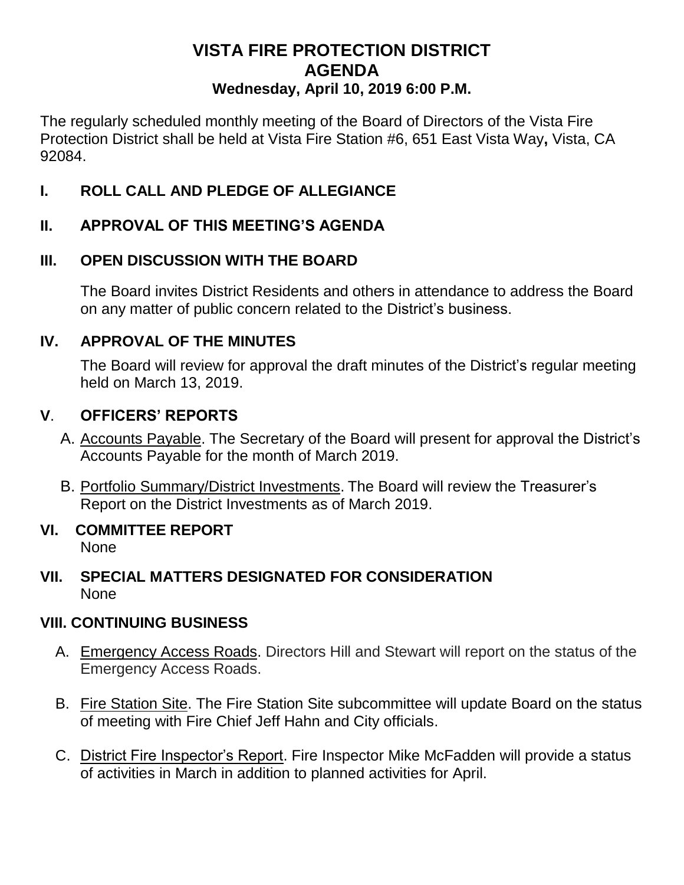# **VISTA FIRE PROTECTION DISTRICT AGENDA Wednesday, April 10, 2019 6:00 P.M.**

The regularly scheduled monthly meeting of the Board of Directors of the Vista Fire Protection District shall be held at Vista Fire Station #6, 651 East Vista Way**,** Vista, CA 92084.

# **I. ROLL CALL AND PLEDGE OF ALLEGIANCE**

# **II. APPROVAL OF THIS MEETING'S AGENDA**

# **III. OPEN DISCUSSION WITH THE BOARD**

The Board invites District Residents and others in attendance to address the Board on any matter of public concern related to the District's business.

## **IV. APPROVAL OF THE MINUTES**

The Board will review for approval the draft minutes of the District's regular meeting held on March 13, 2019.

## **V**. **OFFICERS' REPORTS**

- A. Accounts Payable. The Secretary of the Board will present for approval the District's Accounts Payable for the month of March 2019.
- B. Portfolio Summary/District Investments. The Board will review the Treasurer's Report on the District Investments as of March 2019.

#### **VI. COMMITTEE REPORT** None

### **VII. SPECIAL MATTERS DESIGNATED FOR CONSIDERATION** None

## **VIII. CONTINUING BUSINESS**

- A. Emergency Access Roads. Directors Hill and Stewart will report on the status of the Emergency Access Roads.
- B. Fire Station Site. The Fire Station Site subcommittee will update Board on the status of meeting with Fire Chief Jeff Hahn and City officials.
- C. District Fire Inspector's Report. Fire Inspector Mike McFadden will provide a status of activities in March in addition to planned activities for April.